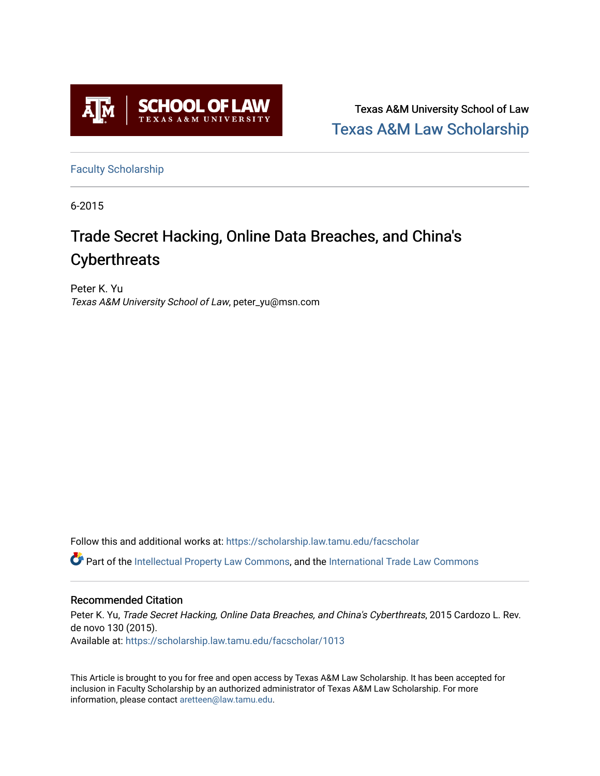

Texas A&M University School of Law [Texas A&M Law Scholarship](https://scholarship.law.tamu.edu/) 

[Faculty Scholarship](https://scholarship.law.tamu.edu/facscholar)

6-2015

# Trade Secret Hacking, Online Data Breaches, and China's **Cyberthreats**

Peter K. Yu Texas A&M University School of Law, peter\_yu@msn.com

Follow this and additional works at: [https://scholarship.law.tamu.edu/facscholar](https://scholarship.law.tamu.edu/facscholar?utm_source=scholarship.law.tamu.edu%2Ffacscholar%2F1013&utm_medium=PDF&utm_campaign=PDFCoverPages) 

Part of the [Intellectual Property Law Commons,](http://network.bepress.com/hgg/discipline/896?utm_source=scholarship.law.tamu.edu%2Ffacscholar%2F1013&utm_medium=PDF&utm_campaign=PDFCoverPages) and the [International Trade Law Commons](http://network.bepress.com/hgg/discipline/848?utm_source=scholarship.law.tamu.edu%2Ffacscholar%2F1013&utm_medium=PDF&utm_campaign=PDFCoverPages) 

### Recommended Citation

Peter K. Yu, Trade Secret Hacking, Online Data Breaches, and China's Cyberthreats, 2015 Cardozo L. Rev. de novo 130 (2015). Available at: [https://scholarship.law.tamu.edu/facscholar/1013](https://scholarship.law.tamu.edu/facscholar/1013?utm_source=scholarship.law.tamu.edu%2Ffacscholar%2F1013&utm_medium=PDF&utm_campaign=PDFCoverPages) 

This Article is brought to you for free and open access by Texas A&M Law Scholarship. It has been accepted for inclusion in Faculty Scholarship by an authorized administrator of Texas A&M Law Scholarship. For more information, please contact [aretteen@law.tamu.edu](mailto:aretteen@law.tamu.edu).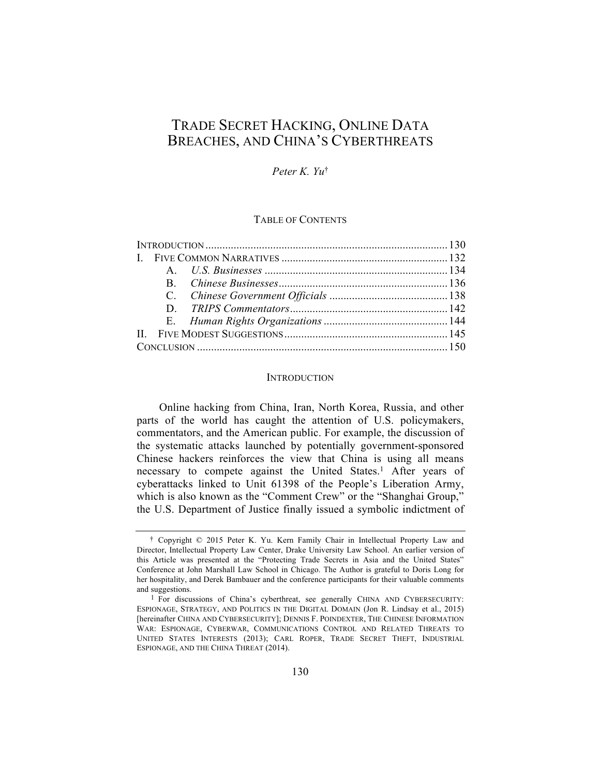## TRADE SECRET HACKING, ONLINE DATA BREACHES, AND CHINA'S CYBERTHREATS

#### *Peter K. Yu*†

#### TABLE OF CONTENTS

#### **INTRODUCTION**

Online hacking from China, Iran, North Korea, Russia, and other parts of the world has caught the attention of U.S. policymakers, commentators, and the American public. For example, the discussion of the systematic attacks launched by potentially government-sponsored Chinese hackers reinforces the view that China is using all means necessary to compete against the United States.<sup>1</sup> After years of cyberattacks linked to Unit 61398 of the People's Liberation Army, which is also known as the "Comment Crew" or the "Shanghai Group," the U.S. Department of Justice finally issued a symbolic indictment of

<sup>†</sup> Copyright © 2015 Peter K. Yu. Kern Family Chair in Intellectual Property Law and Director, Intellectual Property Law Center, Drake University Law School. An earlier version of this Article was presented at the "Protecting Trade Secrets in Asia and the United States" Conference at John Marshall Law School in Chicago. The Author is grateful to Doris Long for her hospitality, and Derek Bambauer and the conference participants for their valuable comments and suggestions.

<sup>1</sup> For discussions of China's cyberthreat, see generally CHINA AND CYBERSECURITY: ESPIONAGE, STRATEGY, AND POLITICS IN THE DIGITAL DOMAIN (Jon R. Lindsay et al., 2015) [hereinafter CHINA AND CYBERSECURITY]; DENNIS F. POINDEXTER, THE CHINESE INFORMATION WAR: ESPIONAGE, CYBERWAR, COMMUNICATIONS CONTROL AND RELATED THREATS TO UNITED STATES INTERESTS (2013); CARL ROPER, TRADE SECRET THEFT, INDUSTRIAL ESPIONAGE, AND THE CHINA THREAT (2014).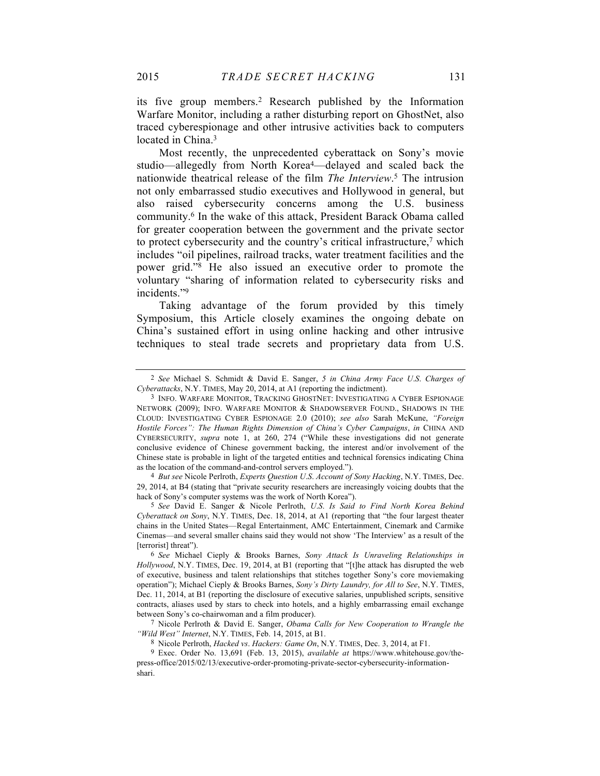its five group members.2 Research published by the Information Warfare Monitor, including a rather disturbing report on GhostNet, also traced cyberespionage and other intrusive activities back to computers located in China. 3

Most recently, the unprecedented cyberattack on Sony's movie studio—allegedly from North Korea4—delayed and scaled back the nationwide theatrical release of the film *The Interview*. <sup>5</sup> The intrusion not only embarrassed studio executives and Hollywood in general, but also raised cybersecurity concerns among the U.S. business community.6 In the wake of this attack, President Barack Obama called for greater cooperation between the government and the private sector to protect cybersecurity and the country's critical infrastructure,<sup>7</sup> which includes "oil pipelines, railroad tracks, water treatment facilities and the power grid."8 He also issued an executive order to promote the voluntary "sharing of information related to cybersecurity risks and incidents."9

Taking advantage of the forum provided by this timely Symposium, this Article closely examines the ongoing debate on China's sustained effort in using online hacking and other intrusive techniques to steal trade secrets and proprietary data from U.S.

4 *But see* Nicole Perlroth, *Experts Question U*.*S*. *Account of Sony Hacking*, N.Y. TIMES, Dec. 29, 2014, at B4 (stating that "private security researchers are increasingly voicing doubts that the hack of Sony's computer systems was the work of North Korea").

5 *See* David E. Sanger & Nicole Perlroth, *U*.*S*. *Is Said to Find North Korea Behind Cyberattack on Sony*, N.Y. TIMES, Dec. 18, 2014, at A1 (reporting that "the four largest theater chains in the United States—Regal Entertainment, AMC Entertainment, Cinemark and Carmike Cinemas—and several smaller chains said they would not show 'The Interview' as a result of the [terrorist] threat").

7 Nicole Perlroth & David E. Sanger, *Obama Calls for New Cooperation to Wrangle the "Wild West" Internet*, N.Y. TIMES, Feb. 14, 2015, at B1.

8 Nicole Perlroth, *Hacked vs*. *Hackers: Game On*, N.Y. TIMES, Dec. 3, 2014, at F1.

9 Exec. Order No. 13,691 (Feb. 13, 2015), *available at* https://www.whitehouse.gov/thepress-office/2015/02/13/executive-order-promoting-private-sector-cybersecurity-informationshari.

<sup>2</sup> *See* Michael S. Schmidt & David E. Sanger, *5 in China Army Face U*.*S*. *Charges of Cyberattacks*, N.Y. TIMES, May 20, 2014, at A1 (reporting the indictment).

<sup>3</sup> INFO. WARFARE MONITOR, TRACKING GHOSTNET: INVESTIGATING A CYBER ESPIONAGE NETWORK (2009); INFO. WARFARE MONITOR & SHADOWSERVER FOUND., SHADOWS IN THE CLOUD: INVESTIGATING CYBER ESPIONAGE 2.0 (2010); *see also* Sarah McKune, *"Foreign Hostile Forces": The Human Rights Dimension of China's Cyber Campaigns*, *in* CHINA AND CYBERSECURITY, *supra* note 1, at 260, 274 ("While these investigations did not generate conclusive evidence of Chinese government backing, the interest and/or involvement of the Chinese state is probable in light of the targeted entities and technical forensics indicating China as the location of the command-and-control servers employed.").

<sup>6</sup> *See* Michael Cieply & Brooks Barnes, *Sony Attack Is Unraveling Relationships in Hollywood*, N.Y. TIMES, Dec. 19, 2014, at B1 (reporting that "[t]he attack has disrupted the web of executive, business and talent relationships that stitches together Sony's core moviemaking operation"); Michael Cieply & Brooks Barnes, *Sony's Dirty Laundry, for All to See*, N.Y. TIMES, Dec. 11, 2014, at B1 (reporting the disclosure of executive salaries, unpublished scripts, sensitive contracts, aliases used by stars to check into hotels, and a highly embarrassing email exchange between Sony's co-chairwoman and a film producer).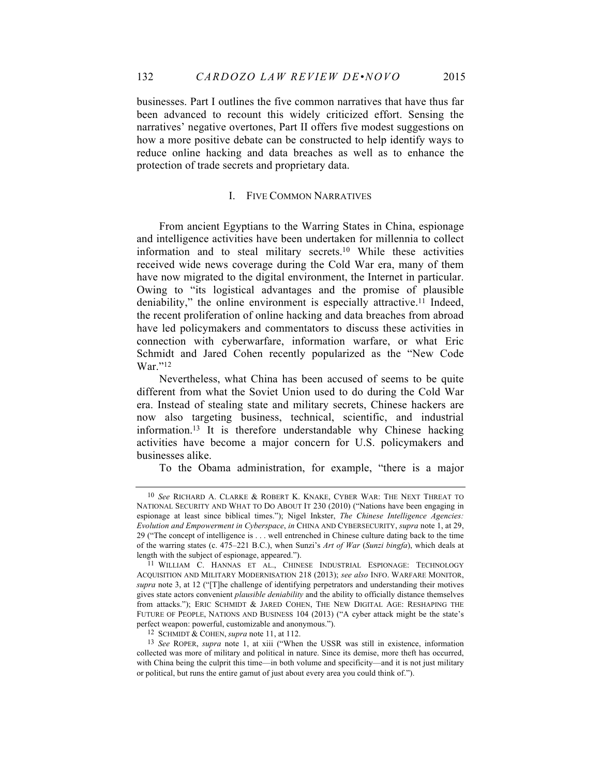businesses. Part I outlines the five common narratives that have thus far been advanced to recount this widely criticized effort. Sensing the narratives' negative overtones, Part II offers five modest suggestions on how a more positive debate can be constructed to help identify ways to reduce online hacking and data breaches as well as to enhance the protection of trade secrets and proprietary data.

#### I. FIVE COMMON NARRATIVES

From ancient Egyptians to the Warring States in China, espionage and intelligence activities have been undertaken for millennia to collect information and to steal military secrets.10 While these activities received wide news coverage during the Cold War era, many of them have now migrated to the digital environment, the Internet in particular. Owing to "its logistical advantages and the promise of plausible deniability," the online environment is especially attractive.<sup>11</sup> Indeed, the recent proliferation of online hacking and data breaches from abroad have led policymakers and commentators to discuss these activities in connection with cyberwarfare, information warfare, or what Eric Schmidt and Jared Cohen recently popularized as the "New Code War<sup>"12</sup>

Nevertheless, what China has been accused of seems to be quite different from what the Soviet Union used to do during the Cold War era. Instead of stealing state and military secrets, Chinese hackers are now also targeting business, technical, scientific, and industrial information.13 It is therefore understandable why Chinese hacking activities have become a major concern for U.S. policymakers and businesses alike.

To the Obama administration, for example, "there is a major

<sup>10</sup> *See* RICHARD A. CLARKE & ROBERT K. KNAKE, CYBER WAR: THE NEXT THREAT TO NATIONAL SECURITY AND WHAT TO DO ABOUT IT 230 (2010) ("Nations have been engaging in espionage at least since biblical times."); Nigel Inkster, *The Chinese Intelligence Agencies: Evolution and Empowerment in Cyberspace*, *in* CHINA AND CYBERSECURITY, *supra* note 1, at 29, 29 ("The concept of intelligence is . . . well entrenched in Chinese culture dating back to the time of the warring states (c. 475–221 B.C.), when Sunzi's *Art of War* (*Sunzi bingfa*), which deals at length with the subject of espionage, appeared.").

<sup>11</sup> WILLIAM C. HANNAS ET AL., CHINESE INDUSTRIAL ESPIONAGE: TECHNOLOGY ACQUISITION AND MILITARY MODERNISATION 218 (2013); *see also* INFO. WARFARE MONITOR, *supra* note 3, at 12 ("[T]he challenge of identifying perpetrators and understanding their motives gives state actors convenient *plausible deniability* and the ability to officially distance themselves from attacks."); ERIC SCHMIDT & JARED COHEN, THE NEW DIGITAL AGE: RESHAPING THE FUTURE OF PEOPLE, NATIONS AND BUSINESS 104 (2013) ("A cyber attack might be the state's perfect weapon: powerful, customizable and anonymous.").

<sup>12</sup> SCHMIDT & COHEN, *supra* note 11, at 112.

<sup>13</sup> *See* ROPER, *supra* note 1, at xiii ("When the USSR was still in existence, information collected was more of military and political in nature. Since its demise, more theft has occurred, with China being the culprit this time—in both volume and specificity—and it is not just military or political, but runs the entire gamut of just about every area you could think of.").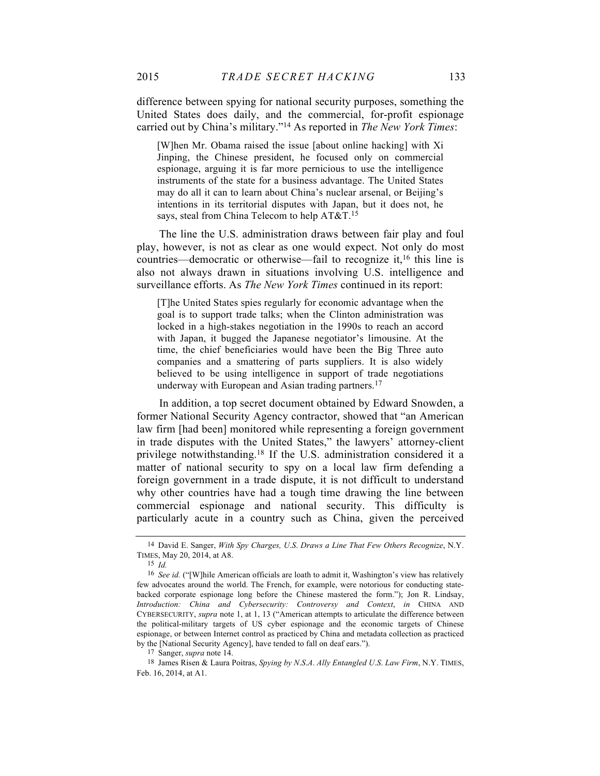difference between spying for national security purposes, something the United States does daily, and the commercial, for-profit espionage carried out by China's military."14 As reported in *The New York Times*:

[W]hen Mr. Obama raised the issue [about online hacking] with Xi Jinping, the Chinese president, he focused only on commercial espionage, arguing it is far more pernicious to use the intelligence instruments of the state for a business advantage. The United States may do all it can to learn about China's nuclear arsenal, or Beijing's intentions in its territorial disputes with Japan, but it does not, he says, steal from China Telecom to help AT&T.15

The line the U.S. administration draws between fair play and foul play, however, is not as clear as one would expect. Not only do most countries—democratic or otherwise—fail to recognize it, <sup>16</sup> this line is also not always drawn in situations involving U.S. intelligence and surveillance efforts. As *The New York Times* continued in its report:

[T]he United States spies regularly for economic advantage when the goal is to support trade talks; when the Clinton administration was locked in a high-stakes negotiation in the 1990s to reach an accord with Japan, it bugged the Japanese negotiator's limousine. At the time, the chief beneficiaries would have been the Big Three auto companies and a smattering of parts suppliers. It is also widely believed to be using intelligence in support of trade negotiations underway with European and Asian trading partners.<sup>17</sup>

In addition, a top secret document obtained by Edward Snowden, a former National Security Agency contractor, showed that "an American law firm [had been] monitored while representing a foreign government in trade disputes with the United States," the lawyers' attorney-client privilege notwithstanding.18 If the U.S. administration considered it a matter of national security to spy on a local law firm defending a foreign government in a trade dispute, it is not difficult to understand why other countries have had a tough time drawing the line between commercial espionage and national security. This difficulty is particularly acute in a country such as China, given the perceived

<sup>14</sup> David E. Sanger, *With Spy Charges, U*.*S*. *Draws a Line That Few Others Recognize*, N.Y. TIMES, May 20, 2014, at A8.

<sup>15</sup> *Id.*

<sup>16</sup> *See id.* ("[W]hile American officials are loath to admit it, Washington's view has relatively few advocates around the world. The French, for example, were notorious for conducting statebacked corporate espionage long before the Chinese mastered the form."); Jon R. Lindsay, *Introduction: China and Cybersecurity: Controversy and Context*, *in* CHINA AND CYBERSECURITY, *supra* note 1, at 1, 13 ("American attempts to articulate the difference between the political-military targets of US cyber espionage and the economic targets of Chinese espionage, or between Internet control as practiced by China and metadata collection as practiced by the [National Security Agency], have tended to fall on deaf ears.").

<sup>17</sup> Sanger, *supra* note 14.

<sup>18</sup> James Risen & Laura Poitras, *Spying by N*.*S*.*A*. *Ally Entangled U*.*S*. *Law Firm*, N.Y. TIMES, Feb. 16, 2014, at A1.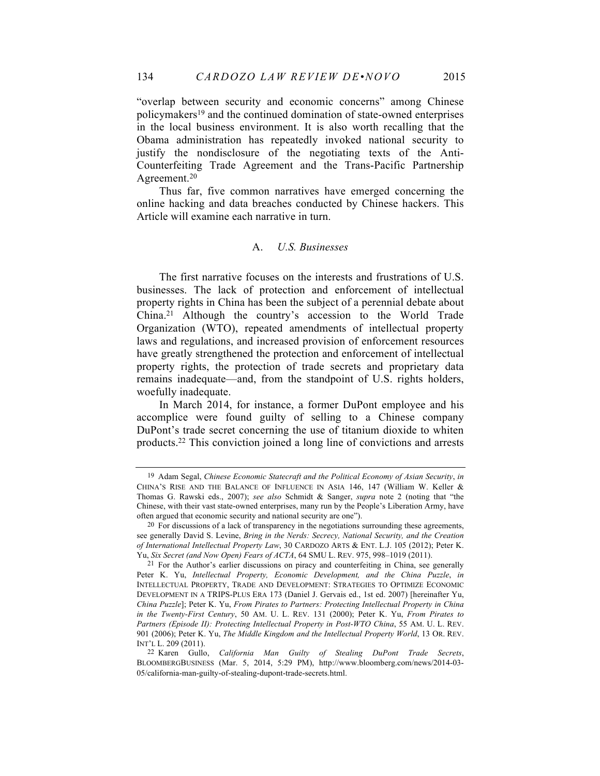"overlap between security and economic concerns" among Chinese policymakers19 and the continued domination of state-owned enterprises in the local business environment. It is also worth recalling that the Obama administration has repeatedly invoked national security to justify the nondisclosure of the negotiating texts of the Anti-Counterfeiting Trade Agreement and the Trans-Pacific Partnership Agreement.20

Thus far, five common narratives have emerged concerning the online hacking and data breaches conducted by Chinese hackers. This Article will examine each narrative in turn.

#### A. *U.S. Businesses*

The first narrative focuses on the interests and frustrations of U.S. businesses. The lack of protection and enforcement of intellectual property rights in China has been the subject of a perennial debate about China.21 Although the country's accession to the World Trade Organization (WTO), repeated amendments of intellectual property laws and regulations, and increased provision of enforcement resources have greatly strengthened the protection and enforcement of intellectual property rights, the protection of trade secrets and proprietary data remains inadequate—and, from the standpoint of U.S. rights holders, woefully inadequate.

In March 2014, for instance, a former DuPont employee and his accomplice were found guilty of selling to a Chinese company DuPont's trade secret concerning the use of titanium dioxide to whiten products.22 This conviction joined a long line of convictions and arrests

<sup>19</sup> Adam Segal, *Chinese Economic Statecraft and the Political Economy of Asian Security*, *in* CHINA'S RISE AND THE BALANCE OF INFLUENCE IN ASIA 146, 147 (William W. Keller & Thomas G. Rawski eds., 2007); *see also* Schmidt & Sanger, *supra* note 2 (noting that "the Chinese, with their vast state-owned enterprises, many run by the People's Liberation Army, have often argued that economic security and national security are one").

<sup>20</sup> For discussions of a lack of transparency in the negotiations surrounding these agreements, see generally David S. Levine, *Bring in the Nerds: Secrecy, National Security, and the Creation of International Intellectual Property Law*, 30 CARDOZO ARTS & ENT. L.J. 105 (2012); Peter K. Yu, *Six Secret (and Now Open) Fears of ACTA*, 64 SMU L. REV. 975, 998–1019 (2011).

<sup>21</sup> For the Author's earlier discussions on piracy and counterfeiting in China, see generally Peter K. Yu, *Intellectual Property, Economic Development, and the China Puzzle*, *in* INTELLECTUAL PROPERTY, TRADE AND DEVELOPMENT: STRATEGIES TO OPTIMIZE ECONOMIC DEVELOPMENT IN A TRIPS-PLUS ERA 173 (Daniel J. Gervais ed., 1st ed. 2007) [hereinafter Yu, *China Puzzle*]; Peter K. Yu, *From Pirates to Partners: Protecting Intellectual Property in China in the Twenty-First Century*, 50 AM. U. L. REV. 131 (2000); Peter K. Yu, *From Pirates to Partners (Episode II): Protecting Intellectual Property in Post-WTO China*, 55 AM. U. L. REV. 901 (2006); Peter K. Yu, *The Middle Kingdom and the Intellectual Property World*, 13 OR. REV. INT'L L. 209 (2011).

<sup>22</sup> Karen Gullo, *California Man Guilty of Stealing DuPont Trade Secrets*, BLOOMBERGBUSINESS (Mar. 5, 2014, 5:29 PM), http://www.bloomberg.com/news/2014-03- 05/california-man-guilty-of-stealing-dupont-trade-secrets.html.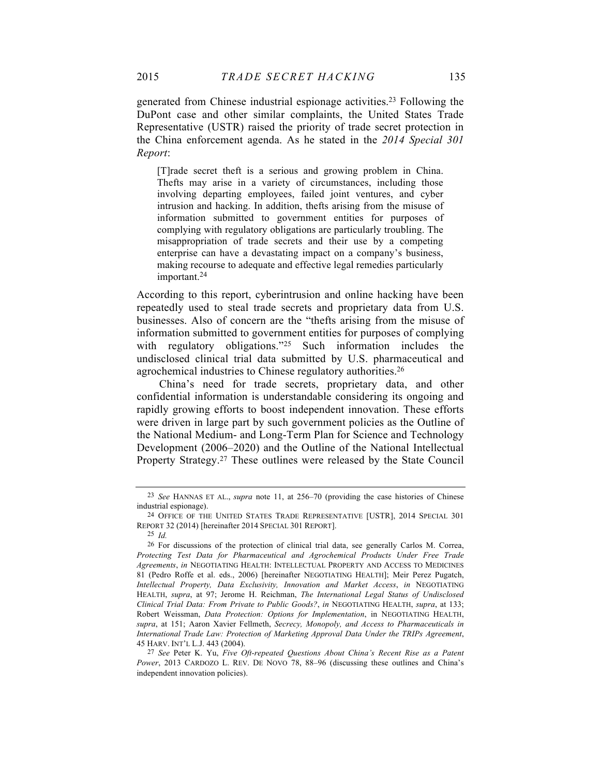generated from Chinese industrial espionage activities.23 Following the DuPont case and other similar complaints, the United States Trade Representative (USTR) raised the priority of trade secret protection in the China enforcement agenda. As he stated in the *2014 Special 301 Report*:

[T]rade secret theft is a serious and growing problem in China. Thefts may arise in a variety of circumstances, including those involving departing employees, failed joint ventures, and cyber intrusion and hacking. In addition, thefts arising from the misuse of information submitted to government entities for purposes of complying with regulatory obligations are particularly troubling. The misappropriation of trade secrets and their use by a competing enterprise can have a devastating impact on a company's business, making recourse to adequate and effective legal remedies particularly important.24

According to this report, cyberintrusion and online hacking have been repeatedly used to steal trade secrets and proprietary data from U.S. businesses. Also of concern are the "thefts arising from the misuse of information submitted to government entities for purposes of complying with regulatory obligations."<sup>25</sup> Such information includes the undisclosed clinical trial data submitted by U.S. pharmaceutical and agrochemical industries to Chinese regulatory authorities.26

China's need for trade secrets, proprietary data, and other confidential information is understandable considering its ongoing and rapidly growing efforts to boost independent innovation. These efforts were driven in large part by such government policies as the Outline of the National Medium- and Long-Term Plan for Science and Technology Development (2006–2020) and the Outline of the National Intellectual Property Strategy.27 These outlines were released by the State Council

<sup>23</sup> *See* HANNAS ET AL., *supra* note 11, at 256–70 (providing the case histories of Chinese industrial espionage).

<sup>24</sup> OFFICE OF THE UNITED STATES TRADE REPRESENTATIVE [USTR], 2014 SPECIAL 301 REPORT 32 (2014) [hereinafter 2014 SPECIAL 301 REPORT].

<sup>25</sup> *Id.*

<sup>26</sup> For discussions of the protection of clinical trial data, see generally Carlos M. Correa, *Protecting Test Data for Pharmaceutical and Agrochemical Products Under Free Trade Agreements*, *in* NEGOTIATING HEALTH: INTELLECTUAL PROPERTY AND ACCESS TO MEDICINES 81 (Pedro Roffe et al. eds., 2006) [hereinafter NEGOTIATING HEALTH]; Meir Perez Pugatch, *Intellectual Property, Data Exclusivity, Innovation and Market Access*, *in* NEGOTIATING HEALTH, *supra*, at 97; Jerome H. Reichman, *The International Legal Status of Undisclosed Clinical Trial Data: From Private to Public Goods?*, *in* NEGOTIATING HEALTH, *supra*, at 133; Robert Weissman, *Data Protection: Options for Implementation*, in NEGOTIATING HEALTH, *supra*, at 151; Aaron Xavier Fellmeth, *Secrecy, Monopoly, and Access to Pharmaceuticals in International Trade Law: Protection of Marketing Approval Data Under the TRIPs Agreement*, 45 HARV. INT'L L.J. 443 (2004).

<sup>27</sup> *See* Peter K. Yu, *Five Oft-repeated Questions About China's Recent Rise as a Patent Power*, 2013 CARDOZO L. REV. DE NOVO 78, 88–96 (discussing these outlines and China's independent innovation policies).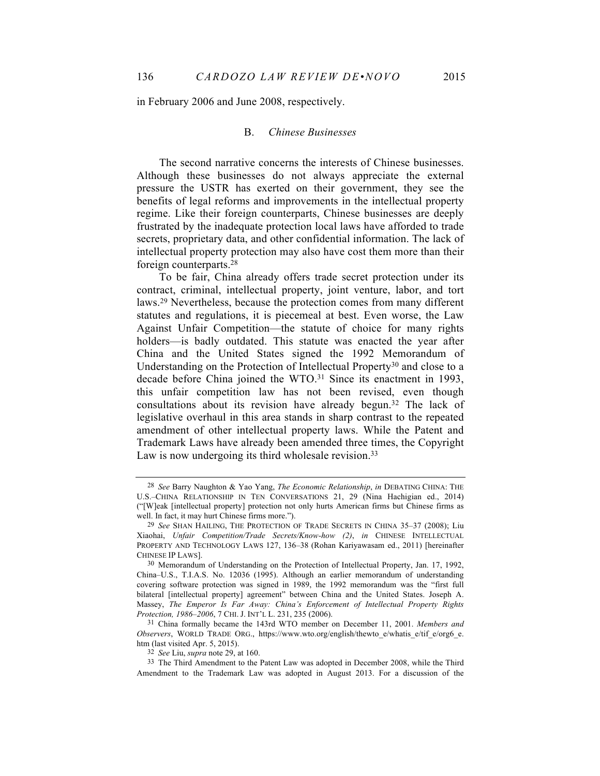in February 2006 and June 2008, respectively.

#### B. *Chinese Businesses*

The second narrative concerns the interests of Chinese businesses. Although these businesses do not always appreciate the external pressure the USTR has exerted on their government, they see the benefits of legal reforms and improvements in the intellectual property regime. Like their foreign counterparts, Chinese businesses are deeply frustrated by the inadequate protection local laws have afforded to trade secrets, proprietary data, and other confidential information. The lack of intellectual property protection may also have cost them more than their foreign counterparts.28

To be fair, China already offers trade secret protection under its contract, criminal, intellectual property, joint venture, labor, and tort laws.29 Nevertheless, because the protection comes from many different statutes and regulations, it is piecemeal at best. Even worse, the Law Against Unfair Competition—the statute of choice for many rights holders—is badly outdated. This statute was enacted the year after China and the United States signed the 1992 Memorandum of Understanding on the Protection of Intellectual Property30 and close to a decade before China joined the WTO.<sup>31</sup> Since its enactment in 1993, this unfair competition law has not been revised, even though consultations about its revision have already begun.32 The lack of legislative overhaul in this area stands in sharp contrast to the repeated amendment of other intellectual property laws. While the Patent and Trademark Laws have already been amended three times, the Copyright Law is now undergoing its third wholesale revision.<sup>33</sup>

31 China formally became the 143rd WTO member on December 11, 2001. *Members and Observers*, WORLD TRADE ORG., https://www.wto.org/english/thewto\_e/whatis\_e/tif\_e/org6\_e. htm (last visited Apr. 5, 2015).

<sup>28</sup> *See* Barry Naughton & Yao Yang, *The Economic Relationship*, *in* DEBATING CHINA: THE U.S.–CHINA RELATIONSHIP IN TEN CONVERSATIONS 21, 29 (Nina Hachigian ed., 2014) ("[W]eak [intellectual property] protection not only hurts American firms but Chinese firms as well. In fact, it may hurt Chinese firms more.").

<sup>29</sup> *See* SHAN HAILING, THE PROTECTION OF TRADE SECRETS IN CHINA 35–37 (2008); Liu Xiaohai, *Unfair Competition/Trade Secrets/Know-how (2)*, *in* CHINESE INTELLECTUAL PROPERTY AND TECHNOLOGY LAWS 127, 136–38 (Rohan Kariyawasam ed., 2011) [hereinafter CHINESE IP LAWS].

<sup>30</sup> Memorandum of Understanding on the Protection of Intellectual Property, Jan. 17, 1992, China–U.S., T.I.A.S. No. 12036 (1995). Although an earlier memorandum of understanding covering software protection was signed in 1989, the 1992 memorandum was the "first full bilateral [intellectual property] agreement" between China and the United States. Joseph A. Massey, *The Emperor Is Far Away: China's Enforcement of Intellectual Property Rights Protection, 1986–2006*, 7 CHI. J. INT'L L. 231, 235 (2006).

<sup>32</sup> *See* Liu, *supra* note 29, at 160.

<sup>33</sup> The Third Amendment to the Patent Law was adopted in December 2008, while the Third Amendment to the Trademark Law was adopted in August 2013. For a discussion of the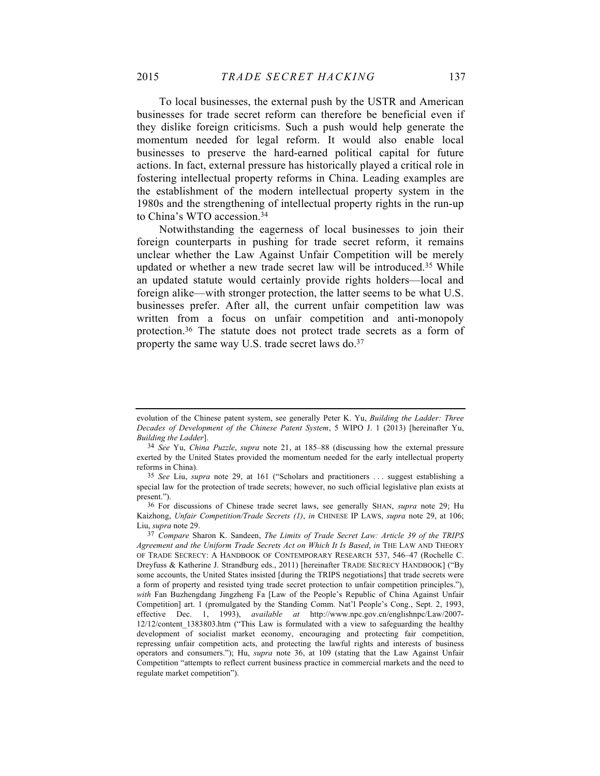To local businesses, the external push by the USTR and American businesses for trade secret reform can therefore be beneficial even if they dislike foreign criticisms. Such a push would help generate the momentum needed for legal reform. It would also enable local businesses to preserve the hard-earned political capital for future actions. In fact, external pressure has historically played a critical role in fostering intellectual property reforms in China. Leading examples are the establishment of the modern intellectual property system in the 1980s and the strengthening of intellectual property rights in the run-up to China's WTO accession.34

Notwithstanding the eagerness of local businesses to join their foreign counterparts in pushing for trade secret reform, it remains unclear whether the Law Against Unfair Competition will be merely updated or whether a new trade secret law will be introduced.35 While an updated statute would certainly provide rights holders—local and foreign alike—with stronger protection, the latter seems to be what U.S. businesses prefer. After all, the current unfair competition law was written from a focus on unfair competition and anti-monopoly protection.36 The statute does not protect trade secrets as a form of property the same way U.S. trade secret laws do.<sup>37</sup>

evolution of the Chinese patent system, see generally Peter K. Yu, *Building the Ladder: Three Decades of Development of the Chinese Patent System*, 5 WIPO J. 1 (2013) [hereinafter Yu, *Building the Ladder*].

<sup>34</sup> *See* Yu, *China Puzzle*, *supra* note 21, at 185–88 (discussing how the external pressure exerted by the United States provided the momentum needed for the early intellectual property reforms in China).

<sup>35</sup> *See* Liu, *supra* note 29, at 161 ("Scholars and practitioners . . . suggest establishing a special law for the protection of trade secrets; however, no such official legislative plan exists at present.").

<sup>36</sup> For discussions of Chinese trade secret laws, see generally SHAN, *supra* note 29; Hu Kaizhong, *Unfair Competition/Trade Secrets (1)*, *in* CHINESE IP LAWS, *supra* note 29, at 106; Liu, *supra* note 29.

<sup>37</sup> *Compare* Sharon K. Sandeen, *The Limits of Trade Secret Law: Article 39 of the TRIPS Agreement and the Uniform Trade Secrets Act on Which It Is Based*, *in* THE LAW AND THEORY OF TRADE SECRECY: A HANDBOOK OF CONTEMPORARY RESEARCH 537, 546–47 (Rochelle C. Dreyfuss & Katherine J. Strandburg eds., 2011) [hereinafter TRADE SECRECY HANDBOOK] ("By some accounts, the United States insisted [during the TRIPS negotiations] that trade secrets were a form of property and resisted tying trade secret protection to unfair competition principles."), *with* Fan Buzhengdang Jingzheng Fa [Law of the People's Republic of China Against Unfair Competition] art. 1 (promulgated by the Standing Comm. Nat'l People's Cong., Sept. 2, 1993, effective Dec. 1, 1993), *available at* http://www.npc.gov.cn/englishnpc/Law/2007- 12/12/content\_1383803.htm ("This Law is formulated with a view to safeguarding the healthy development of socialist market economy, encouraging and protecting fair competition, repressing unfair competition acts, and protecting the lawful rights and interests of business operators and consumers."); Hu, *supra* note 36, at 109 (stating that the Law Against Unfair Competition "attempts to reflect current business practice in commercial markets and the need to regulate market competition").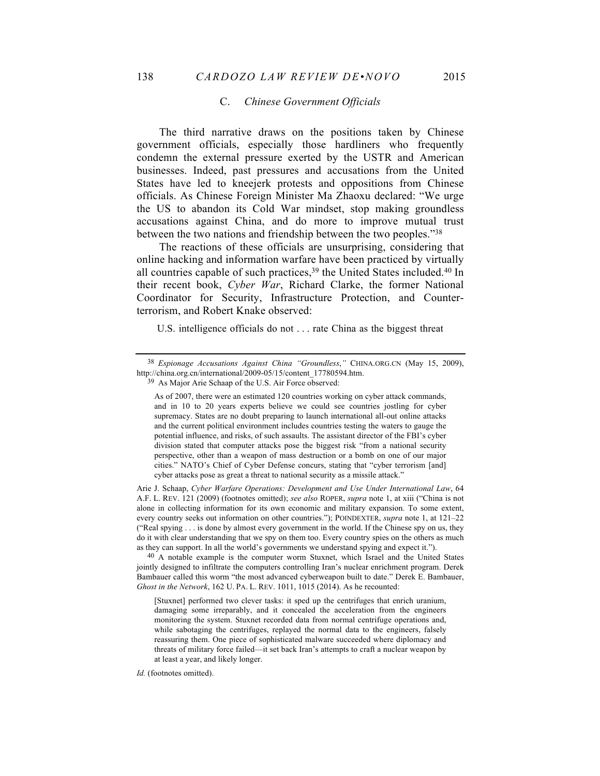#### C. *Chinese Government Officials*

The third narrative draws on the positions taken by Chinese government officials, especially those hardliners who frequently condemn the external pressure exerted by the USTR and American businesses. Indeed, past pressures and accusations from the United States have led to kneejerk protests and oppositions from Chinese officials. As Chinese Foreign Minister Ma Zhaoxu declared: "We urge the US to abandon its Cold War mindset, stop making groundless accusations against China, and do more to improve mutual trust between the two nations and friendship between the two peoples."38

The reactions of these officials are unsurprising, considering that online hacking and information warfare have been practiced by virtually all countries capable of such practices, <sup>39</sup> the United States included.40 In their recent book, *Cyber War*, Richard Clarke, the former National Coordinator for Security, Infrastructure Protection, and Counterterrorism, and Robert Knake observed:

U.S. intelligence officials do not . . . rate China as the biggest threat

Arie J. Schaap, *Cyber Warfare Operations: Development and Use Under International Law*, 64 A.F. L. REV. 121 (2009) (footnotes omitted); *see also* ROPER, *supra* note 1, at xiii ("China is not alone in collecting information for its own economic and military expansion. To some extent, every country seeks out information on other countries."); POINDEXTER, *supra* note 1, at 121–22 ("Real spying . . . is done by almost every government in the world. If the Chinese spy on us, they do it with clear understanding that we spy on them too. Every country spies on the others as much as they can support. In all the world's governments we understand spying and expect it.").

40 A notable example is the computer worm Stuxnet, which Israel and the United States jointly designed to infiltrate the computers controlling Iran's nuclear enrichment program. Derek Bambauer called this worm "the most advanced cyberweapon built to date." Derek E. Bambauer, *Ghost in the Network*, 162 U. PA. L. REV. 1011, 1015 (2014). As he recounted:

[Stuxnet] performed two clever tasks: it sped up the centrifuges that enrich uranium, damaging some irreparably, and it concealed the acceleration from the engineers monitoring the system. Stuxnet recorded data from normal centrifuge operations and, while sabotaging the centrifuges, replayed the normal data to the engineers, falsely reassuring them. One piece of sophisticated malware succeeded where diplomacy and threats of military force failed—it set back Iran's attempts to craft a nuclear weapon by at least a year, and likely longer.

*Id.* (footnotes omitted).

<sup>38</sup> *Espionage Accusations Against China "Groundless*,*"* CHINA.ORG.CN (May 15, 2009), http://china.org.cn/international/2009-05/15/content\_17780594.htm.

<sup>39</sup> As Major Arie Schaap of the U.S. Air Force observed:

As of 2007, there were an estimated 120 countries working on cyber attack commands, and in 10 to 20 years experts believe we could see countries jostling for cyber supremacy. States are no doubt preparing to launch international all-out online attacks and the current political environment includes countries testing the waters to gauge the potential influence, and risks, of such assaults. The assistant director of the FBI's cyber division stated that computer attacks pose the biggest risk "from a national security perspective, other than a weapon of mass destruction or a bomb on one of our major cities." NATO's Chief of Cyber Defense concurs, stating that "cyber terrorism [and] cyber attacks pose as great a threat to national security as a missile attack."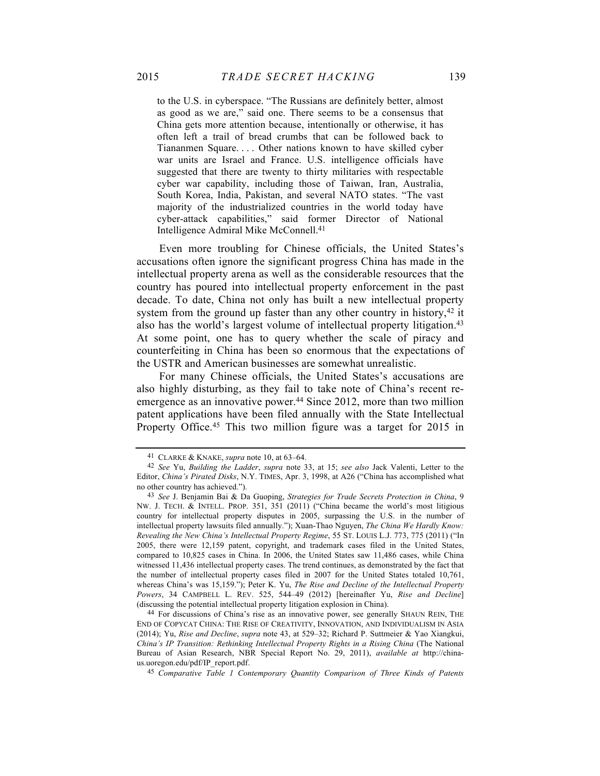to the U.S. in cyberspace. "The Russians are definitely better, almost as good as we are," said one. There seems to be a consensus that China gets more attention because, intentionally or otherwise, it has often left a trail of bread crumbs that can be followed back to Tiananmen Square. . . . Other nations known to have skilled cyber war units are Israel and France. U.S. intelligence officials have suggested that there are twenty to thirty militaries with respectable cyber war capability, including those of Taiwan, Iran, Australia, South Korea, India, Pakistan, and several NATO states. "The vast majority of the industrialized countries in the world today have cyber-attack capabilities," said former Director of National Intelligence Admiral Mike McConnell.41

Even more troubling for Chinese officials, the United States's accusations often ignore the significant progress China has made in the intellectual property arena as well as the considerable resources that the country has poured into intellectual property enforcement in the past decade. To date, China not only has built a new intellectual property system from the ground up faster than any other country in history,<sup>42</sup> it also has the world's largest volume of intellectual property litigation.43 At some point, one has to query whether the scale of piracy and counterfeiting in China has been so enormous that the expectations of the USTR and American businesses are somewhat unrealistic.

For many Chinese officials, the United States's accusations are also highly disturbing, as they fail to take note of China's recent reemergence as an innovative power.<sup>44</sup> Since 2012, more than two million patent applications have been filed annually with the State Intellectual Property Office.<sup>45</sup> This two million figure was a target for 2015 in

<sup>41</sup> CLARKE & KNAKE, *supra* note 10, at 63–64.

<sup>42</sup> *See* Yu, *Building the Ladder*, *supra* note 33, at 15; *see also* Jack Valenti, Letter to the Editor, *China's Pirated Disks*, N.Y. TIMES, Apr. 3, 1998, at A26 ("China has accomplished what no other country has achieved.").

<sup>43</sup> *See* J. Benjamin Bai & Da Guoping, *Strategies for Trade Secrets Protection in China*, 9 NW. J. TECH. & INTELL. PROP. 351, 351 (2011) ("China became the world's most litigious country for intellectual property disputes in 2005, surpassing the U.S. in the number of intellectual property lawsuits filed annually."); Xuan-Thao Nguyen, *The China We Hardly Know: Revealing the New China's Intellectual Property Regime*, 55 ST. LOUIS L.J. 773, 775 (2011) ("In 2005, there were 12,159 patent, copyright, and trademark cases filed in the United States, compared to 10,825 cases in China. In 2006, the United States saw 11,486 cases, while China witnessed 11,436 intellectual property cases. The trend continues, as demonstrated by the fact that the number of intellectual property cases filed in 2007 for the United States totaled 10,761, whereas China's was 15,159."); Peter K. Yu, *The Rise and Decline of the Intellectual Property Powers*, 34 CAMPBELL L. REV. 525, 544–49 (2012) [hereinafter Yu, *Rise and Decline*] (discussing the potential intellectual property litigation explosion in China).

<sup>44</sup> For discussions of China's rise as an innovative power, see generally SHAUN REIN, THE END OF COPYCAT CHINA: THE RISE OF CREATIVITY, INNOVATION, AND INDIVIDUALISM IN ASIA (2014); Yu, *Rise and Decline*, *supra* note 43, at 529–32; Richard P. Suttmeier & Yao Xiangkui, *China's IP Transition: Rethinking Intellectual Property Rights in a Rising China* (The National Bureau of Asian Research, NBR Special Report No. 29, 2011), *available at* http://chinaus.uoregon.edu/pdf/IP\_report.pdf.

<sup>45</sup> *Comparative Table 1 Contemporary Quantity Comparison of Three Kinds of Patents*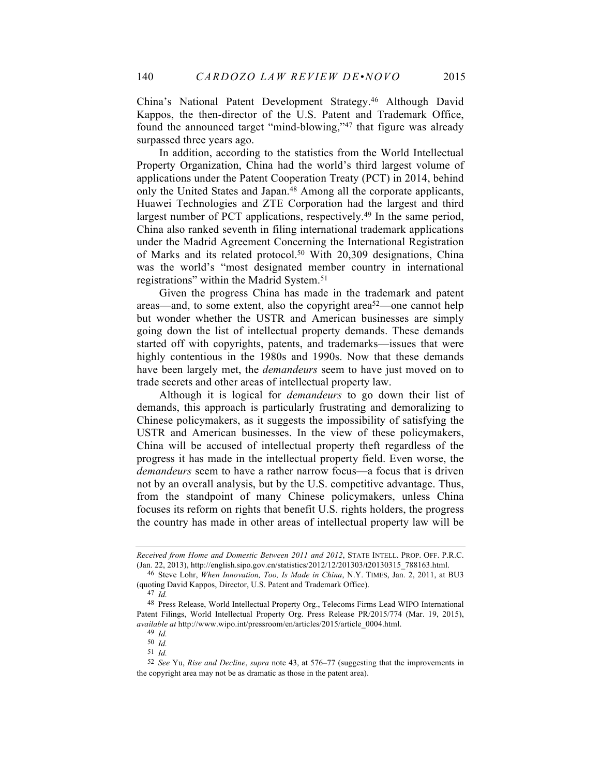China's National Patent Development Strategy. <sup>46</sup> Although David Kappos, the then-director of the U.S. Patent and Trademark Office, found the announced target "mind-blowing,"47 that figure was already surpassed three years ago.

In addition, according to the statistics from the World Intellectual Property Organization, China had the world's third largest volume of applications under the Patent Cooperation Treaty (PCT) in 2014, behind only the United States and Japan.48 Among all the corporate applicants, Huawei Technologies and ZTE Corporation had the largest and third largest number of PCT applications, respectively.49 In the same period, China also ranked seventh in filing international trademark applications under the Madrid Agreement Concerning the International Registration of Marks and its related protocol.<sup>50</sup> With 20,309 designations, China was the world's "most designated member country in international registrations" within the Madrid System.51

Given the progress China has made in the trademark and patent areas—and, to some extent, also the copyright area<sup>52</sup>—one cannot help but wonder whether the USTR and American businesses are simply going down the list of intellectual property demands. These demands started off with copyrights, patents, and trademarks—issues that were highly contentious in the 1980s and 1990s. Now that these demands have been largely met, the *demandeurs* seem to have just moved on to trade secrets and other areas of intellectual property law.

Although it is logical for *demandeurs* to go down their list of demands, this approach is particularly frustrating and demoralizing to Chinese policymakers, as it suggests the impossibility of satisfying the USTR and American businesses. In the view of these policymakers, China will be accused of intellectual property theft regardless of the progress it has made in the intellectual property field. Even worse, the *demandeurs* seem to have a rather narrow focus—a focus that is driven not by an overall analysis, but by the U.S. competitive advantage. Thus, from the standpoint of many Chinese policymakers, unless China focuses its reform on rights that benefit U.S. rights holders, the progress the country has made in other areas of intellectual property law will be

*Received from Home and Domestic Between 2011 and 2012*, STATE INTELL. PROP. OFF. P.R.C. (Jan. 22, 2013), http://english.sipo.gov.cn/statistics/2012/12/201303/t20130315\_788163.html.

<sup>46</sup> Steve Lohr, *When Innovation, Too, Is Made in China*, N.Y. TIMES, Jan. 2, 2011, at BU3 (quoting David Kappos, Director, U.S. Patent and Trademark Office).

<sup>47</sup> *Id.*

<sup>48</sup> Press Release, World Intellectual Property Org., Telecoms Firms Lead WIPO International Patent Filings, World Intellectual Property Org. Press Release PR/2015/774 (Mar. 19, 2015), *available at* http://www.wipo.int/pressroom/en/articles/2015/article\_0004.html.

<sup>49</sup> *Id.*

<sup>50</sup> *Id.*

<sup>51</sup> *Id.*

<sup>52</sup> *See* Yu, *Rise and Decline*, *supra* note 43, at 576–77 (suggesting that the improvements in the copyright area may not be as dramatic as those in the patent area).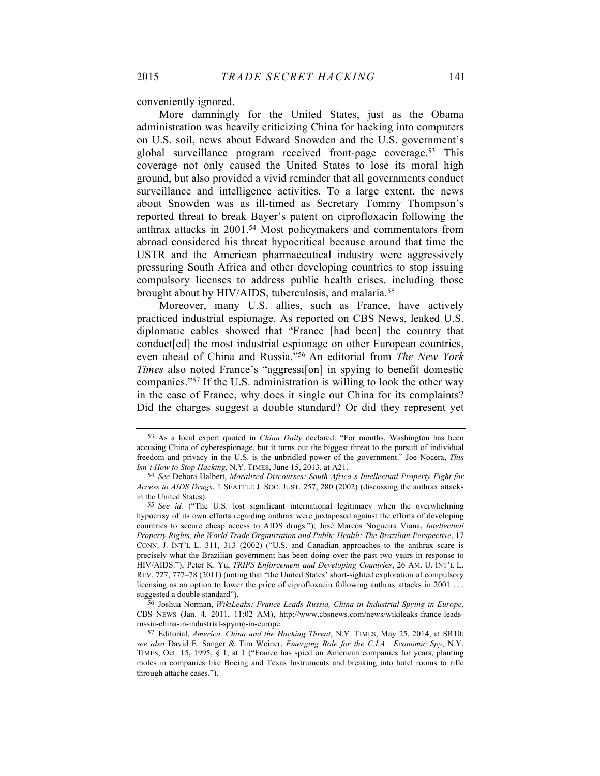conveniently ignored.

More damningly for the United States, just as the Obama administration was heavily criticizing China for hacking into computers on U.S. soil, news about Edward Snowden and the U.S. government's global surveillance program received front-page coverage.53 This coverage not only caused the United States to lose its moral high ground, but also provided a vivid reminder that all governments conduct surveillance and intelligence activities. To a large extent, the news about Snowden was as ill-timed as Secretary Tommy Thompson's reported threat to break Bayer's patent on ciprofloxacin following the anthrax attacks in 2001.54 Most policymakers and commentators from abroad considered his threat hypocritical because around that time the USTR and the American pharmaceutical industry were aggressively pressuring South Africa and other developing countries to stop issuing compulsory licenses to address public health crises, including those brought about by HIV/AIDS, tuberculosis, and malaria.<sup>55</sup>

Moreover, many U.S. allies, such as France, have actively practiced industrial espionage. As reported on CBS News, leaked U.S. diplomatic cables showed that "France [had been] the country that conduct[ed] the most industrial espionage on other European countries, even ahead of China and Russia."56 An editorial from *The New York Times* also noted France's "aggression] in spying to benefit domestic companies."57 If the U.S. administration is willing to look the other way in the case of France, why does it single out China for its complaints? Did the charges suggest a double standard? Or did they represent yet

56 Joshua Norman, *WikiLeaks: France Leads Russia, China in Industrial Spying in Europe*, CBS NEWS (Jan. 4, 2011, 11:02 AM), http://www.cbsnews.com/news/wikileaks-france-leadsrussia-china-in-industrial-spying-in-europe.

<sup>53</sup> As a local expert quoted in *China Daily* declared: "For months, Washington has been accusing China of cyberespionage, but it turns out the biggest threat to the pursuit of individual freedom and privacy in the U.S. is the unbridled power of the government." Joe Nocera, *This Isn't How to Stop Hacking*, N.Y. TIMES, June 15, 2013, at A21.

<sup>54</sup> *See* Debora Halbert, *Moralized Discourses: South Africa's Intellectual Property Fight for Access to AIDS Drugs*, 1 SEATTLE J. SOC. JUST. 257, 280 (2002) (discussing the anthrax attacks in the United States).

<sup>55</sup> *See id.* ("The U.S. lost significant international legitimacy when the overwhelming hypocrisy of its own efforts regarding anthrax were juxtaposed against the efforts of developing countries to secure cheap access to AIDS drugs."); José Marcos Nogueira Viana, *Intellectual Property Rights, the World Trade Organization and Public Health: The Brazilian Perspective*, 17 CONN. J. INT'L L. 311, 313 (2002) ("U.S. and Canadian approaches to the anthrax scare is precisely what the Brazilian government has been doing over the past two years in response to HIV/AIDS."); Peter K. Yu, *TRIPS Enforcement and Developing Countries*, 26 AM. U. INT'L L. REV. 727, 777–78 (2011) (noting that "the United States' short-sighted exploration of compulsory licensing as an option to lower the price of ciprofloxacin following anthrax attacks in 2001... suggested a double standard").

<sup>57</sup> Editorial, *America, China and the Hacking Threat*, N.Y. TIMES, May 25, 2014, at SR10; *see also* David E. Sanger & Tim Weiner, *Emerging Role for the C.I.A.: Economic Spy*, N.Y. TIMES, Oct. 15, 1995, § 1, at 1 ("France has spied on American companies for years, planting moles in companies like Boeing and Texas Instruments and breaking into hotel rooms to rifle through attache cases.").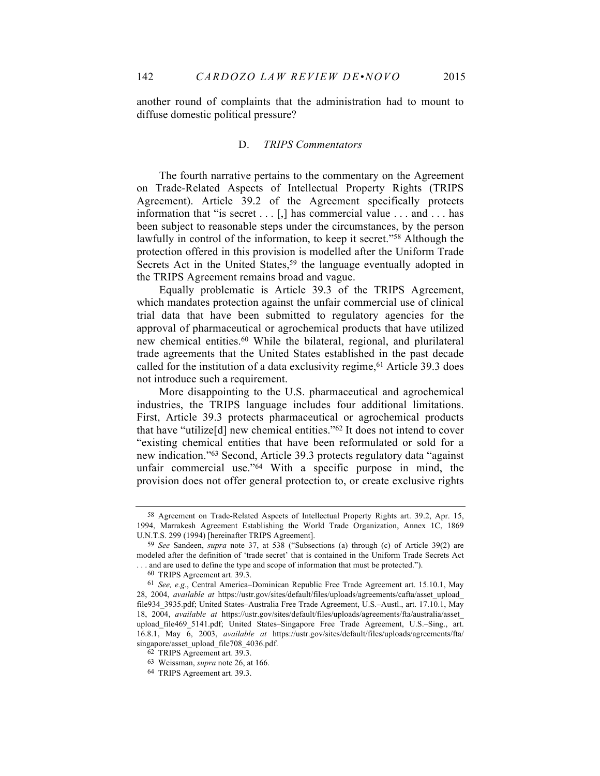another round of complaints that the administration had to mount to diffuse domestic political pressure?

#### D. *TRIPS Commentators*

The fourth narrative pertains to the commentary on the Agreement on Trade-Related Aspects of Intellectual Property Rights (TRIPS Agreement). Article 39.2 of the Agreement specifically protects information that "is secret . . . [,] has commercial value . . . and . . . has been subject to reasonable steps under the circumstances, by the person lawfully in control of the information, to keep it secret."58 Although the protection offered in this provision is modelled after the Uniform Trade Secrets Act in the United States,<sup>59</sup> the language eventually adopted in the TRIPS Agreement remains broad and vague.

Equally problematic is Article 39.3 of the TRIPS Agreement, which mandates protection against the unfair commercial use of clinical trial data that have been submitted to regulatory agencies for the approval of pharmaceutical or agrochemical products that have utilized new chemical entities.60 While the bilateral, regional, and plurilateral trade agreements that the United States established in the past decade called for the institution of a data exclusivity regime,  $61$  Article 39.3 does not introduce such a requirement.

More disappointing to the U.S. pharmaceutical and agrochemical industries, the TRIPS language includes four additional limitations. First, Article 39.3 protects pharmaceutical or agrochemical products that have "utilize[d] new chemical entities."62 It does not intend to cover "existing chemical entities that have been reformulated or sold for a new indication."63 Second, Article 39.3 protects regulatory data "against unfair commercial use."64 With a specific purpose in mind, the provision does not offer general protection to, or create exclusive rights

60 TRIPS Agreement art. 39.3.

<sup>58</sup> Agreement on Trade-Related Aspects of Intellectual Property Rights art. 39.2, Apr. 15, 1994, Marrakesh Agreement Establishing the World Trade Organization, Annex 1C, 1869 U.N.T.S. 299 (1994) [hereinafter TRIPS Agreement].

<sup>59</sup> *See* Sandeen, *supra* note 37, at 538 ("Subsections (a) through (c) of Article 39(2) are modeled after the definition of 'trade secret' that is contained in the Uniform Trade Secrets Act . . . and are used to define the type and scope of information that must be protected.").

<sup>61</sup> *See, e.g.*, Central America–Dominican Republic Free Trade Agreement art. 15.10.1, May 28, 2004, *available at* https://ustr.gov/sites/default/files/uploads/agreements/cafta/asset\_upload\_ file934\_3935.pdf; United States–Australia Free Trade Agreement, U.S.–Austl., art. 17.10.1, May 18, 2004, *available at* https://ustr.gov/sites/default/files/uploads/agreements/fta/australia/asset\_ upload file469 5141.pdf; United States–Singapore Free Trade Agreement, U.S.–Sing., art. 16.8.1, May 6, 2003, *available at* https://ustr.gov/sites/default/files/uploads/agreements/fta/ singapore/asset\_upload\_file708\_4036.pdf.

<sup>62</sup> TRIPS Agreement art. 39.3.

<sup>63</sup> Weissman, *supra* note 26, at 166.

<sup>64</sup> TRIPS Agreement art. 39.3.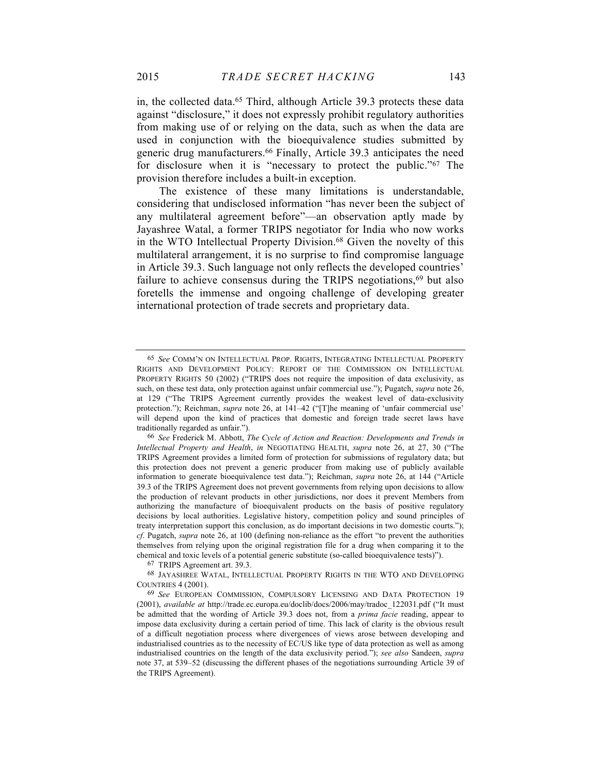in, the collected data.65 Third, although Article 39.3 protects these data against "disclosure," it does not expressly prohibit regulatory authorities from making use of or relying on the data, such as when the data are used in conjunction with the bioequivalence studies submitted by generic drug manufacturers.66 Finally, Article 39.3 anticipates the need for disclosure when it is "necessary to protect the public."67 The provision therefore includes a built-in exception.

The existence of these many limitations is understandable, considering that undisclosed information "has never been the subject of any multilateral agreement before"—an observation aptly made by Jayashree Watal, a former TRIPS negotiator for India who now works in the WTO Intellectual Property Division.<sup>68</sup> Given the novelty of this multilateral arrangement, it is no surprise to find compromise language in Article 39.3. Such language not only reflects the developed countries' failure to achieve consensus during the TRIPS negotiations,<sup>69</sup> but also foretells the immense and ongoing challenge of developing greater international protection of trade secrets and proprietary data.

67 TRIPS Agreement art. 39.3.

68 JAYASHREE WATAL, INTELLECTUAL PROPERTY RIGHTS IN THE WTO AND DEVELOPING COUNTRIES 4 (2001).

<sup>65</sup> *See* COMM'N ON INTELLECTUAL PROP. RIGHTS, INTEGRATING INTELLECTUAL PROPERTY RIGHTS AND DEVELOPMENT POLICY: REPORT OF THE COMMISSION ON INTELLECTUAL PROPERTY RIGHTS 50 (2002) ("TRIPS does not require the imposition of data exclusivity, as such, on these test data, only protection against unfair commercial use."); Pugatch, *supra* note 26, at 129 ("The TRIPS Agreement currently provides the weakest level of data-exclusivity protection."); Reichman, *supra* note 26, at 141–42 ("[T]he meaning of 'unfair commercial use' will depend upon the kind of practices that domestic and foreign trade secret laws have traditionally regarded as unfair.").

<sup>66</sup> *See* Frederick M. Abbott, *The Cycle of Action and Reaction: Developments and Trends in Intellectual Property and Health*, *in* NEGOTIATING HEALTH, *supra* note 26, at 27, 30 ("The TRIPS Agreement provides a limited form of protection for submissions of regulatory data; but this protection does not prevent a generic producer from making use of publicly available information to generate bioequivalence test data."); Reichman, *supra* note 26, at 144 ("Article 39.3 of the TRIPS Agreement does not prevent governments from relying upon decisions to allow the production of relevant products in other jurisdictions, nor does it prevent Members from authorizing the manufacture of bioequivalent products on the basis of positive regulatory decisions by local authorities. Legislative history, competition policy and sound principles of treaty interpretation support this conclusion, as do important decisions in two domestic courts."); *cf*. Pugatch, *supra* note 26, at 100 (defining non-reliance as the effort "to prevent the authorities themselves from relying upon the original registration file for a drug when comparing it to the chemical and toxic levels of a potential generic substitute (so-called bioequivalence tests)").

<sup>69</sup> *See* EUROPEAN COMMISSION, COMPULSORY LICENSING AND DATA PROTECTION 19 (2001), *available at* http://trade.ec.europa.eu/doclib/docs/2006/may/tradoc\_122031.pdf ("It must be admitted that the wording of Article 39.3 does not, from a *prima facie* reading, appear to impose data exclusivity during a certain period of time. This lack of clarity is the obvious result of a difficult negotiation process where divergences of views arose between developing and industrialised countries as to the necessity of EC/US like type of data protection as well as among industrialised countries on the length of the data exclusivity period."); *see also* Sandeen, *supra*  note 37, at 539–52 (discussing the different phases of the negotiations surrounding Article 39 of the TRIPS Agreement).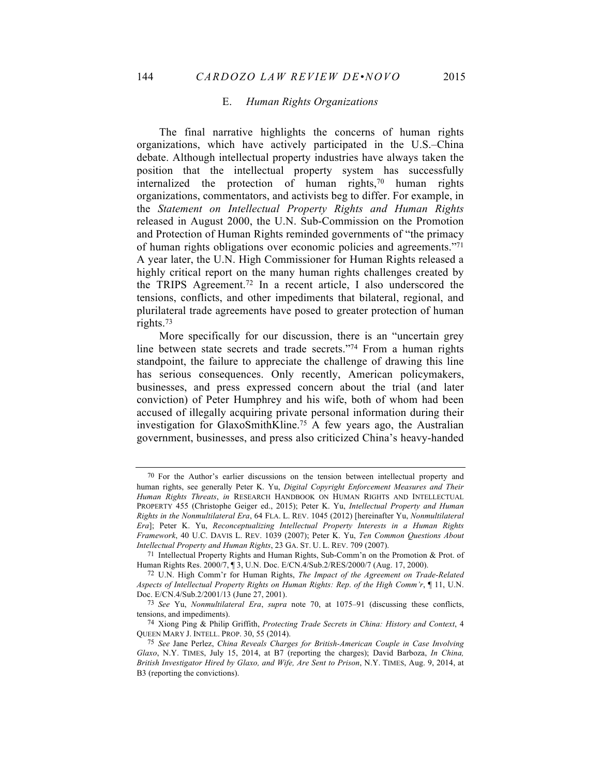#### E. *Human Rights Organizations*

The final narrative highlights the concerns of human rights organizations, which have actively participated in the U.S.–China debate. Although intellectual property industries have always taken the position that the intellectual property system has successfully internalized the protection of human rights, $70$  human rights organizations, commentators, and activists beg to differ. For example, in the *Statement on Intellectual Property Rights and Human Rights* released in August 2000, the U.N. Sub-Commission on the Promotion and Protection of Human Rights reminded governments of "the primacy of human rights obligations over economic policies and agreements."71 A year later, the U.N. High Commissioner for Human Rights released a highly critical report on the many human rights challenges created by the TRIPS Agreement.72 In a recent article, I also underscored the tensions, conflicts, and other impediments that bilateral, regional, and plurilateral trade agreements have posed to greater protection of human rights.73

More specifically for our discussion, there is an "uncertain grey line between state secrets and trade secrets."74 From a human rights standpoint, the failure to appreciate the challenge of drawing this line has serious consequences. Only recently, American policymakers, businesses, and press expressed concern about the trial (and later conviction) of Peter Humphrey and his wife, both of whom had been accused of illegally acquiring private personal information during their investigation for GlaxoSmithKline.75 A few years ago, the Australian government, businesses, and press also criticized China's heavy-handed

<sup>70</sup> For the Author's earlier discussions on the tension between intellectual property and human rights, see generally Peter K. Yu, *Digital Copyright Enforcement Measures and Their Human Rights Threats*, *in* RESEARCH HANDBOOK ON HUMAN RIGHTS AND INTELLECTUAL PROPERTY 455 (Christophe Geiger ed., 2015); Peter K. Yu, *Intellectual Property and Human Rights in the Nonmultilateral Era*, 64 FLA. L. REV. 1045 (2012) [hereinafter Yu, *Nonmultilateral Era*]; Peter K. Yu, *Reconceptualizing Intellectual Property Interests in a Human Rights Framework*, 40 U.C. DAVIS L. REV. 1039 (2007); Peter K. Yu, *Ten Common Questions About Intellectual Property and Human Rights*, 23 GA. ST. U. L. REV. 709 (2007).

<sup>71</sup> Intellectual Property Rights and Human Rights, Sub-Comm'n on the Promotion & Prot. of Human Rights Res. 2000/7, ¶ 3, U.N. Doc. E/CN.4/Sub.2/RES/2000/7 (Aug. 17, 2000).

<sup>72</sup> U.N. High Comm'r for Human Rights, *The Impact of the Agreement on Trade-Related Aspects of Intellectual Property Rights on Human Rights: Rep*. *of the High Comm'r*, ¶ 11, U.N. Doc. E/CN.4/Sub.2/2001/13 (June 27, 2001).

<sup>73</sup> *See* Yu, *Nonmultilateral Era*, *supra* note 70, at 1075–91 (discussing these conflicts, tensions, and impediments).

<sup>74</sup> Xiong Ping & Philip Griffith, *Protecting Trade Secrets in China: History and Context*, 4 QUEEN MARY J. INTELL. PROP. 30, 55 (2014).

<sup>75</sup> *See* Jane Perlez, *China Reveals Charges for British-American Couple in Case Involving Glaxo*, N.Y. TIMES, July 15, 2014, at B7 (reporting the charges); David Barboza, *In China, British Investigator Hired by Glaxo, and Wife, Are Sent to Prison*, N.Y. TIMES, Aug. 9, 2014, at B3 (reporting the convictions).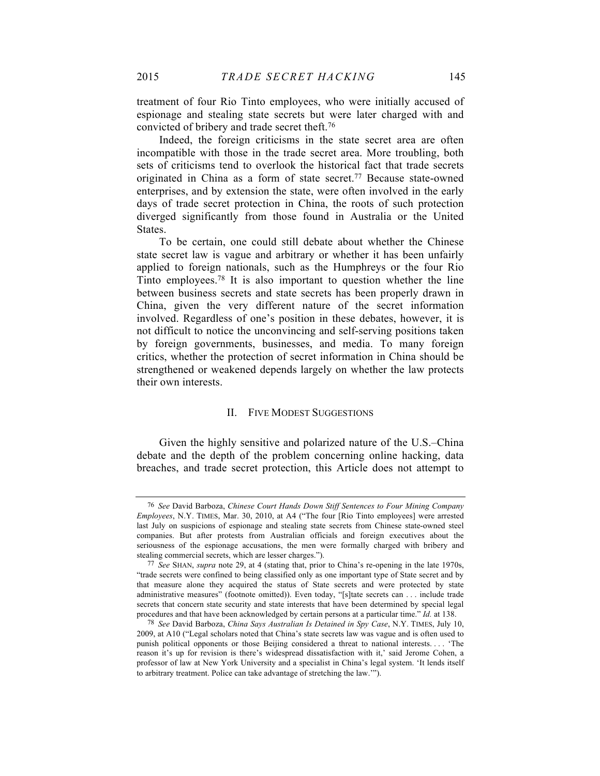treatment of four Rio Tinto employees, who were initially accused of espionage and stealing state secrets but were later charged with and convicted of bribery and trade secret theft.76

Indeed, the foreign criticisms in the state secret area are often incompatible with those in the trade secret area. More troubling, both sets of criticisms tend to overlook the historical fact that trade secrets originated in China as a form of state secret.77 Because state-owned enterprises, and by extension the state, were often involved in the early days of trade secret protection in China, the roots of such protection diverged significantly from those found in Australia or the United States.

To be certain, one could still debate about whether the Chinese state secret law is vague and arbitrary or whether it has been unfairly applied to foreign nationals, such as the Humphreys or the four Rio Tinto employees. <sup>78</sup> It is also important to question whether the line between business secrets and state secrets has been properly drawn in China, given the very different nature of the secret information involved. Regardless of one's position in these debates, however, it is not difficult to notice the unconvincing and self-serving positions taken by foreign governments, businesses, and media. To many foreign critics, whether the protection of secret information in China should be strengthened or weakened depends largely on whether the law protects their own interests.

#### II. FIVE MODEST SUGGESTIONS

Given the highly sensitive and polarized nature of the U.S.–China debate and the depth of the problem concerning online hacking, data breaches, and trade secret protection, this Article does not attempt to

<sup>76</sup> *See* David Barboza, *Chinese Court Hands Down Stiff Sentences to Four Mining Company Employees*, N.Y. TIMES, Mar. 30, 2010, at A4 ("The four [Rio Tinto employees] were arrested last July on suspicions of espionage and stealing state secrets from Chinese state-owned steel companies. But after protests from Australian officials and foreign executives about the seriousness of the espionage accusations, the men were formally charged with bribery and stealing commercial secrets, which are lesser charges.").

<sup>77</sup> *See* SHAN, *supra* note 29, at 4 (stating that, prior to China's re-opening in the late 1970s, "trade secrets were confined to being classified only as one important type of State secret and by that measure alone they acquired the status of State secrets and were protected by state administrative measures" (footnote omitted)). Even today, "[s]tate secrets can . . . include trade secrets that concern state security and state interests that have been determined by special legal procedures and that have been acknowledged by certain persons at a particular time." *Id.* at 138.

<sup>78</sup> *See* David Barboza, *China Says Australian Is Detained in Spy Case*, N.Y. TIMES, July 10, 2009, at A10 ("Legal scholars noted that China's state secrets law was vague and is often used to punish political opponents or those Beijing considered a threat to national interests. . . . 'The reason it's up for revision is there's widespread dissatisfaction with it,' said Jerome Cohen, a professor of law at New York University and a specialist in China's legal system. 'It lends itself to arbitrary treatment. Police can take advantage of stretching the law.'").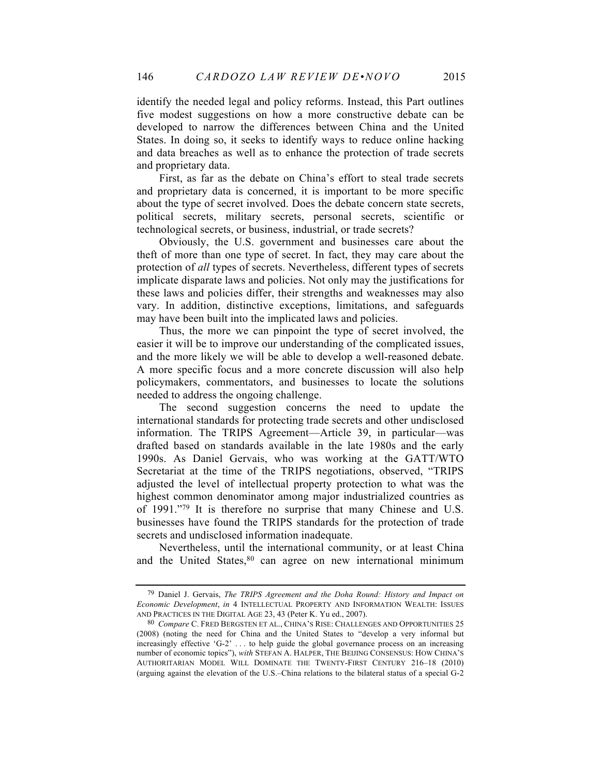identify the needed legal and policy reforms. Instead, this Part outlines five modest suggestions on how a more constructive debate can be developed to narrow the differences between China and the United States. In doing so, it seeks to identify ways to reduce online hacking and data breaches as well as to enhance the protection of trade secrets and proprietary data.

First, as far as the debate on China's effort to steal trade secrets and proprietary data is concerned, it is important to be more specific about the type of secret involved. Does the debate concern state secrets, political secrets, military secrets, personal secrets, scientific or technological secrets, or business, industrial, or trade secrets?

Obviously, the U.S. government and businesses care about the theft of more than one type of secret. In fact, they may care about the protection of *all* types of secrets. Nevertheless, different types of secrets implicate disparate laws and policies. Not only may the justifications for these laws and policies differ, their strengths and weaknesses may also vary. In addition, distinctive exceptions, limitations, and safeguards may have been built into the implicated laws and policies.

Thus, the more we can pinpoint the type of secret involved, the easier it will be to improve our understanding of the complicated issues, and the more likely we will be able to develop a well-reasoned debate. A more specific focus and a more concrete discussion will also help policymakers, commentators, and businesses to locate the solutions needed to address the ongoing challenge.

The second suggestion concerns the need to update the international standards for protecting trade secrets and other undisclosed information. The TRIPS Agreement—Article 39, in particular—was drafted based on standards available in the late 1980s and the early 1990s. As Daniel Gervais, who was working at the GATT/WTO Secretariat at the time of the TRIPS negotiations, observed, "TRIPS adjusted the level of intellectual property protection to what was the highest common denominator among major industrialized countries as of 1991."79 It is therefore no surprise that many Chinese and U.S. businesses have found the TRIPS standards for the protection of trade secrets and undisclosed information inadequate.

Nevertheless, until the international community, or at least China and the United States, <sup>80</sup> can agree on new international minimum

<sup>79</sup> Daniel J. Gervais, *The TRIPS Agreement and the Doha Round: History and Impact on Economic Development*, *in* 4 INTELLECTUAL PROPERTY AND INFORMATION WEALTH: ISSUES AND PRACTICES IN THE DIGITAL AGE 23, 43 (Peter K. Yu ed., 2007).

<sup>80</sup> *Compare* C. FRED BERGSTEN ET AL., CHINA'S RISE: CHALLENGES AND OPPORTUNITIES 25 (2008) (noting the need for China and the United States to "develop a very informal but increasingly effective 'G-2' . . . to help guide the global governance process on an increasing number of economic topics"), *with* STEFAN A. HALPER, THE BEIJING CONSENSUS: HOW CHINA'S AUTHORITARIAN MODEL WILL DOMINATE THE TWENTY-FIRST CENTURY 216–18 (2010) (arguing against the elevation of the U.S.–China relations to the bilateral status of a special G-2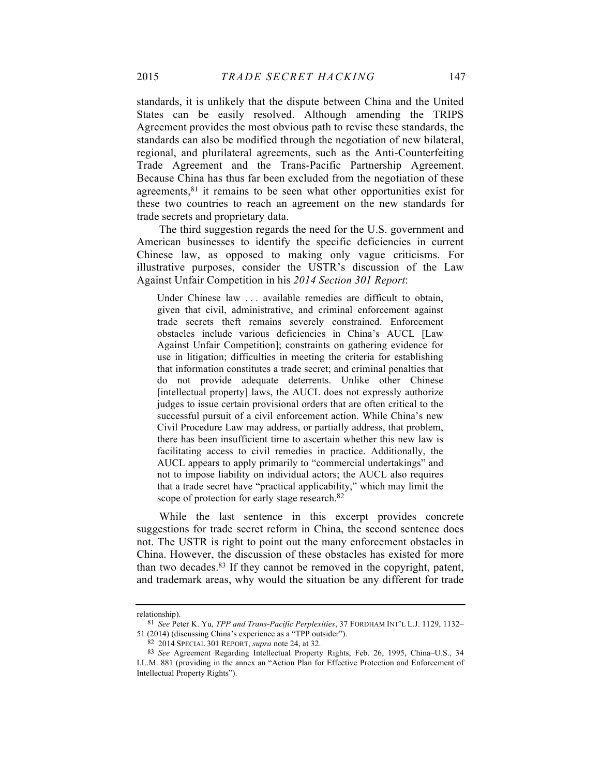standards, it is unlikely that the dispute between China and the United States can be easily resolved. Although amending the TRIPS Agreement provides the most obvious path to revise these standards, the standards can also be modified through the negotiation of new bilateral, regional, and plurilateral agreements, such as the Anti-Counterfeiting Trade Agreement and the Trans-Pacific Partnership Agreement. Because China has thus far been excluded from the negotiation of these agreements,81 it remains to be seen what other opportunities exist for these two countries to reach an agreement on the new standards for trade secrets and proprietary data.

The third suggestion regards the need for the U.S. government and American businesses to identify the specific deficiencies in current Chinese law, as opposed to making only vague criticisms. For illustrative purposes, consider the USTR's discussion of the Law Against Unfair Competition in his *2014 Section 301 Report*:

Under Chinese law . . . available remedies are difficult to obtain, given that civil, administrative, and criminal enforcement against trade secrets theft remains severely constrained. Enforcement obstacles include various deficiencies in China's AUCL [Law Against Unfair Competition]; constraints on gathering evidence for use in litigation; difficulties in meeting the criteria for establishing that information constitutes a trade secret; and criminal penalties that do not provide adequate deterrents. Unlike other Chinese [intellectual property] laws, the AUCL does not expressly authorize judges to issue certain provisional orders that are often critical to the successful pursuit of a civil enforcement action. While China's new Civil Procedure Law may address, or partially address, that problem, there has been insufficient time to ascertain whether this new law is facilitating access to civil remedies in practice. Additionally, the AUCL appears to apply primarily to "commercial undertakings" and not to impose liability on individual actors; the AUCL also requires that a trade secret have "practical applicability," which may limit the scope of protection for early stage research.<sup>82</sup>

While the last sentence in this excerpt provides concrete suggestions for trade secret reform in China, the second sentence does not. The USTR is right to point out the many enforcement obstacles in China. However, the discussion of these obstacles has existed for more than two decades. <sup>83</sup> If they cannot be removed in the copyright, patent, and trademark areas, why would the situation be any different for trade

relationship).

<sup>81</sup> *See* Peter K. Yu, *TPP and Trans-Pacific Perplexities*, 37 FORDHAM INT'L L.J. 1129, 1132– 51 (2014) (discussing China's experience as a "TPP outsider").

<sup>82</sup> 2014 SPECIAL 301 REPORT, *supra* note 24, at 32.

<sup>83</sup> *See* Agreement Regarding Intellectual Property Rights, Feb. 26, 1995, China–U.S., 34 I.L.M. 881 (providing in the annex an "Action Plan for Effective Protection and Enforcement of Intellectual Property Rights").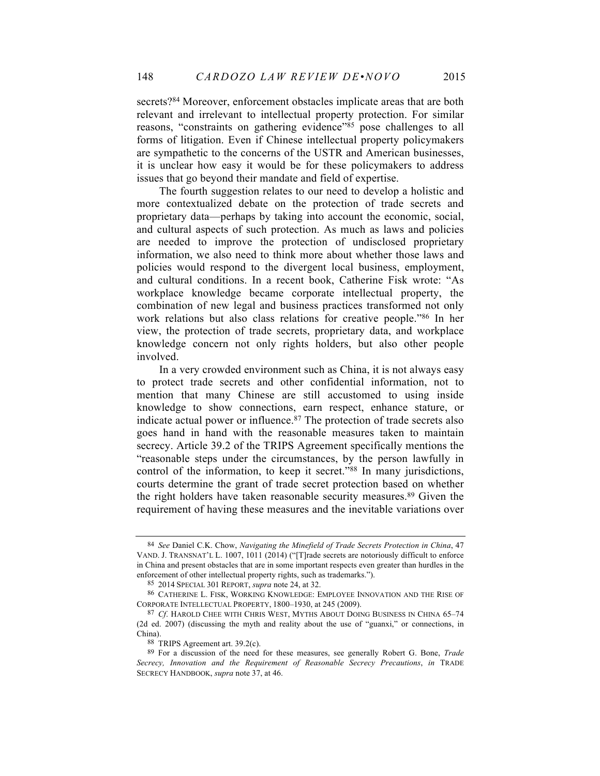secrets?84 Moreover, enforcement obstacles implicate areas that are both relevant and irrelevant to intellectual property protection. For similar reasons, "constraints on gathering evidence"85 pose challenges to all forms of litigation. Even if Chinese intellectual property policymakers are sympathetic to the concerns of the USTR and American businesses, it is unclear how easy it would be for these policymakers to address issues that go beyond their mandate and field of expertise.

The fourth suggestion relates to our need to develop a holistic and more contextualized debate on the protection of trade secrets and proprietary data—perhaps by taking into account the economic, social, and cultural aspects of such protection. As much as laws and policies are needed to improve the protection of undisclosed proprietary information, we also need to think more about whether those laws and policies would respond to the divergent local business, employment, and cultural conditions. In a recent book, Catherine Fisk wrote: "As workplace knowledge became corporate intellectual property, the combination of new legal and business practices transformed not only work relations but also class relations for creative people."86 In her view, the protection of trade secrets, proprietary data, and workplace knowledge concern not only rights holders, but also other people involved.

In a very crowded environment such as China, it is not always easy to protect trade secrets and other confidential information, not to mention that many Chinese are still accustomed to using inside knowledge to show connections, earn respect, enhance stature, or indicate actual power or influence. <sup>87</sup> The protection of trade secrets also goes hand in hand with the reasonable measures taken to maintain secrecy. Article 39.2 of the TRIPS Agreement specifically mentions the "reasonable steps under the circumstances, by the person lawfully in control of the information, to keep it secret."88 In many jurisdictions, courts determine the grant of trade secret protection based on whether the right holders have taken reasonable security measures.<sup>89</sup> Given the requirement of having these measures and the inevitable variations over

<sup>84</sup> *See* Daniel C.K. Chow, *Navigating the Minefield of Trade Secrets Protection in China*, 47 VAND. J. TRANSNAT'L L. 1007, 1011 (2014) ("[T]rade secrets are notoriously difficult to enforce in China and present obstacles that are in some important respects even greater than hurdles in the enforcement of other intellectual property rights, such as trademarks.").

<sup>85</sup> 2014 SPECIAL 301 REPORT, *supra* note 24, at 32.

<sup>86</sup> CATHERINE L. FISK, WORKING KNOWLEDGE: EMPLOYEE INNOVATION AND THE RISE OF CORPORATE INTELLECTUAL PROPERTY, 1800–1930, at 245 (2009).

<sup>87</sup> *Cf*. HAROLD CHEE WITH CHRIS WEST, MYTHS ABOUT DOING BUSINESS IN CHINA 65–74 (2d ed. 2007) (discussing the myth and reality about the use of "guanxi," or connections, in China).

<sup>88</sup> TRIPS Agreement art. 39.2(c).

<sup>89</sup> For a discussion of the need for these measures, see generally Robert G. Bone, *Trade Secrecy, Innovation and the Requirement of Reasonable Secrecy Precautions*, *in* TRADE SECRECY HANDBOOK, *supra* note 37, at 46.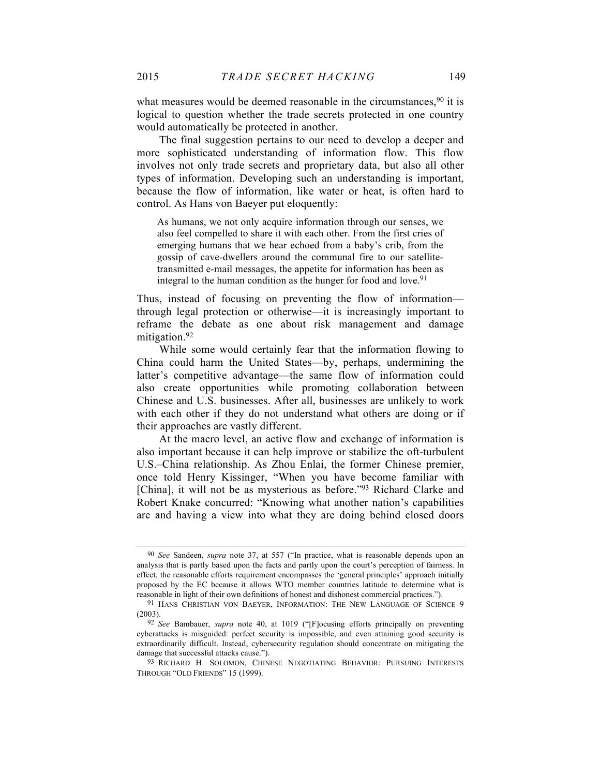what measures would be deemed reasonable in the circumstances, <sup>90</sup> it is logical to question whether the trade secrets protected in one country would automatically be protected in another.

The final suggestion pertains to our need to develop a deeper and more sophisticated understanding of information flow. This flow involves not only trade secrets and proprietary data, but also all other types of information. Developing such an understanding is important, because the flow of information, like water or heat, is often hard to control. As Hans von Baeyer put eloquently:

As humans, we not only acquire information through our senses, we also feel compelled to share it with each other. From the first cries of emerging humans that we hear echoed from a baby's crib, from the gossip of cave-dwellers around the communal fire to our satellitetransmitted e-mail messages, the appetite for information has been as integral to the human condition as the hunger for food and love.<sup>91</sup>

Thus, instead of focusing on preventing the flow of information through legal protection or otherwise—it is increasingly important to reframe the debate as one about risk management and damage mitigation.<sup>92</sup>

While some would certainly fear that the information flowing to China could harm the United States—by, perhaps, undermining the latter's competitive advantage—the same flow of information could also create opportunities while promoting collaboration between Chinese and U.S. businesses. After all, businesses are unlikely to work with each other if they do not understand what others are doing or if their approaches are vastly different.

At the macro level, an active flow and exchange of information is also important because it can help improve or stabilize the oft-turbulent U.S.–China relationship. As Zhou Enlai, the former Chinese premier, once told Henry Kissinger, "When you have become familiar with [China], it will not be as mysterious as before."93 Richard Clarke and Robert Knake concurred: "Knowing what another nation's capabilities are and having a view into what they are doing behind closed doors

<sup>90</sup> *See* Sandeen, *supra* note 37, at 557 ("In practice, what is reasonable depends upon an analysis that is partly based upon the facts and partly upon the court's perception of fairness. In effect, the reasonable efforts requirement encompasses the 'general principles' approach initially proposed by the EC because it allows WTO member countries latitude to determine what is reasonable in light of their own definitions of honest and dishonest commercial practices.").

<sup>91</sup> HANS CHRISTIAN VON BAEYER, INFORMATION: THE NEW LANGUAGE OF SCIENCE 9 (2003).

<sup>92</sup> *See* Bambauer, *supra* note 40, at 1019 ("[F]ocusing efforts principally on preventing cyberattacks is misguided: perfect security is impossible, and even attaining good security is extraordinarily difficult. Instead, cybersecurity regulation should concentrate on mitigating the damage that successful attacks cause.").

<sup>93</sup> RICHARD H. SOLOMON, CHINESE NEGOTIATING BEHAVIOR: PURSUING INTERESTS THROUGH "OLD FRIENDS" 15 (1999).